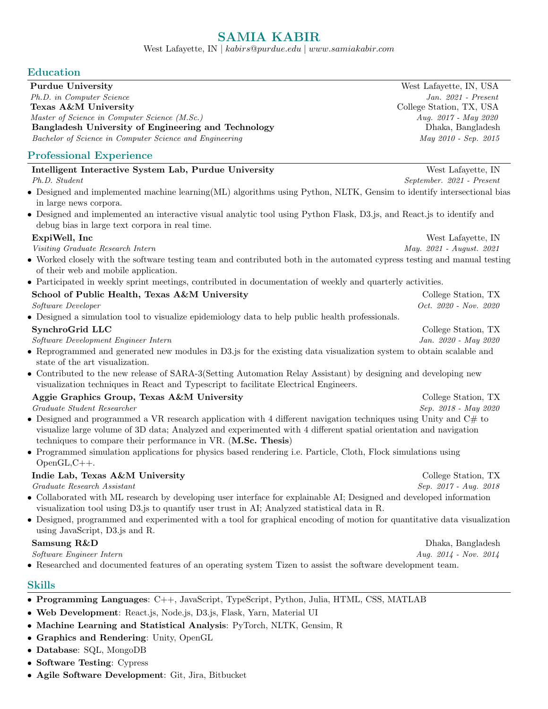# SAMIA KABIR

West Lafayette, IN | kabirs@purdue.edu | www.samiakabir.com

### Education

| Purdue University                                       | West Lafayette, IN, USA  |
|---------------------------------------------------------|--------------------------|
| Ph.D. in Computer Science                               | Jan. $2021$ - Present    |
| Texas A&M University                                    | College Station, TX, USA |
| Master of Science in Computer Science (M.Sc.)           | Aug. $2017 - May 2020$   |
| Bangladesh University of Engineering and Technology     | Dhaka, Bangladesh        |
| Bachelor of Science in Computer Science and Engineering | May 2010 - Sep. 2015     |
|                                                         |                          |

## Professional Experience

| Intelligent Interactive System Lab, Purdue University                                                                                                                                                                                                                                                 | West Lafayette, IN        |
|-------------------------------------------------------------------------------------------------------------------------------------------------------------------------------------------------------------------------------------------------------------------------------------------------------|---------------------------|
| Ph.D. Student                                                                                                                                                                                                                                                                                         | September. 2021 - Present |
| • Designed and implemented machine learning (ML) algorithms using Python, NLTK, Gensim to identify intersectional bias                                                                                                                                                                                |                           |
| in large news corpora.                                                                                                                                                                                                                                                                                |                           |
| • Designed and implemented an interactive visual analytic tool using Python Flask, D3.js, and React.js to identify and                                                                                                                                                                                |                           |
| debug bias in large text corpora in real time.                                                                                                                                                                                                                                                        |                           |
| ExpiWell, Inc.                                                                                                                                                                                                                                                                                        | West Lafayette, IN        |
| Visiting Graduate Research Intern                                                                                                                                                                                                                                                                     | May. 2021 - August. 2021  |
| • Worked closely with the software testing team and contributed both in the automated cypress testing and manual testing<br>of their web and mobile application.                                                                                                                                      |                           |
| • Participated in weekly sprint meetings, contributed in documentation of weekly and quarterly activities.                                                                                                                                                                                            |                           |
| School of Public Health, Texas A&M University                                                                                                                                                                                                                                                         | College Station, TX       |
| Software Developer                                                                                                                                                                                                                                                                                    | Oct. $2020$ - Nov. $2020$ |
| • Designed a simulation tool to visualize epidemiology data to help public health professionals.                                                                                                                                                                                                      |                           |
| SynchroGrid LLC                                                                                                                                                                                                                                                                                       | College Station, TX       |
| Software Development Engineer Intern                                                                                                                                                                                                                                                                  | Jan. 2020 - May 2020      |
| • Reprogrammed and generated new modules in D3.js for the existing data visualization system to obtain scalable and<br>state of the art visualization.                                                                                                                                                |                           |
| • Contributed to the new release of SARA-3(Setting Automation Relay Assistant) by designing and developing new<br>visualization techniques in React and Typescript to facilitate Electrical Engineers.                                                                                                |                           |
| Aggie Graphics Group, Texas A&M University                                                                                                                                                                                                                                                            | College Station, TX       |
| Graduate Student Researcher                                                                                                                                                                                                                                                                           | Sep. 2018 - May 2020      |
| • Designed and programmed a VR research application with 4 different navigation techniques using Unity and C# to<br>visualize large volume of 3D data; Analyzed and experimented with 4 different spatial orientation and navigation<br>techniques to compare their performance in VR. (M.Sc. Thesis) |                           |
| • Programmed simulation applications for physics based rendering i.e. Particle, Cloth, Flock simulations using<br>$OpenGL, C++.$                                                                                                                                                                      |                           |
| Indie Lab, Texas A&M University                                                                                                                                                                                                                                                                       | College Station, TX       |
| Graduate Research Assistant                                                                                                                                                                                                                                                                           | Sep. 2017 - Aug. 2018     |
| • Collaborated with ML research by developing user interface for explainable AI; Designed and developed information<br>visualization tool using D3.js to quantify user trust in AI; Analyzed statistical data in R.                                                                                   |                           |
| • Designed, programmed and experimented with a tool for graphical encoding of motion for quantitative data visualization<br>using JavaScript, D3.js and R.                                                                                                                                            |                           |
| Samsung R&D                                                                                                                                                                                                                                                                                           | Dhaka, Bangladesh         |
| Software Engineer Intern                                                                                                                                                                                                                                                                              | Aug. 2014 - Nov. 2014     |
| • Researched and documented features of an operating system Tizen to assist the software development team.                                                                                                                                                                                            |                           |

#### Skills

- Web Development: React.js, Node.js, D3.js, Flask, Yarn, Material UI
- Machine Learning and Statistical Analysis: PyTorch, NLTK, Gensim, R
- Graphics and Rendering: Unity, OpenGL
- Database: SQL, MongoDB
- Software Testing: Cypress
- Agile Software Development: Git, Jira, Bitbucket